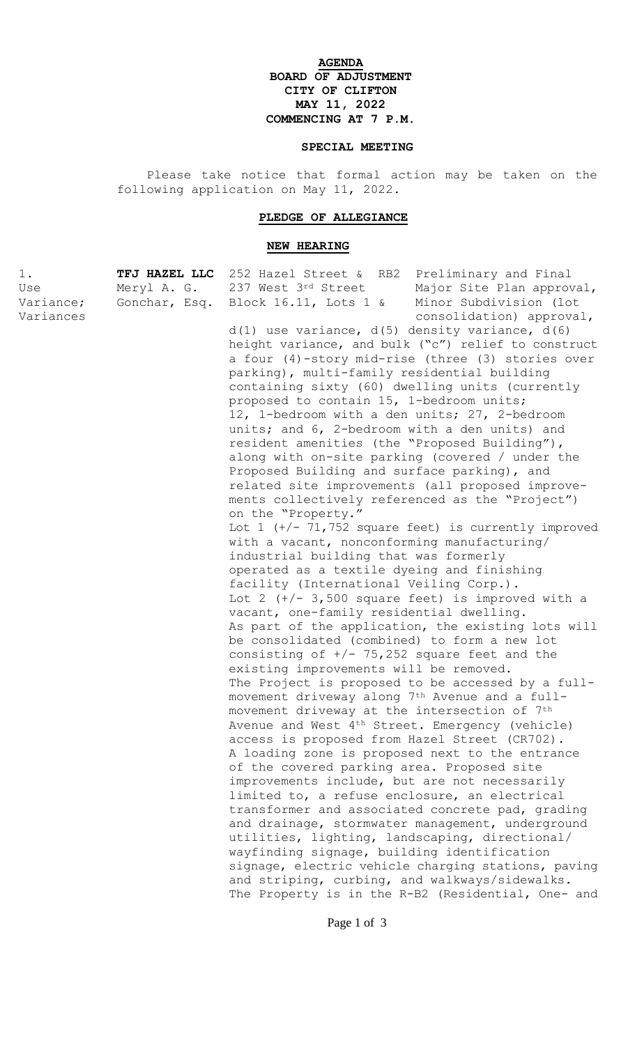## **AGENDA BOARD OF ADJUSTMENT CITY OF CLIFTON MAY 11, 2022 COMMENCING AT 7 P.M.**

## **SPECIAL MEETING**

Please take notice that formal action may be taken on the following application on May 11, 2022.

## **PLEDGE OF ALLEGIANCE**

## **NEW HEARING**

| 1.        | TFJ HAZEL LLC | 252 Hazel Street & RB2 Preliminary and Final                                                          |
|-----------|---------------|-------------------------------------------------------------------------------------------------------|
| Use       | Meryl A. G.   | 237 West 3rd Street<br>Major Site Plan approval,                                                      |
| Variance; | Gonchar, Esq. | Minor Subdivision (lot<br>Block $16.11$ , Lots $1 \&$                                                 |
| Variances |               | consolidation) approval,                                                                              |
|           |               | $d(1)$ use variance, $d(5)$ density variance, $d(6)$                                                  |
|           |               | height variance, and bulk ("c") relief to construct                                                   |
|           |               | a four (4)-story mid-rise (three (3) stories over                                                     |
|           |               | parking), multi-family residential building                                                           |
|           |               | containing sixty (60) dwelling units (currently                                                       |
|           |               | proposed to contain 15, 1-bedroom units;                                                              |
|           |               | 12, 1-bedroom with a den units; 27, 2-bedroom                                                         |
|           |               | units; and 6, 2-bedroom with a den units) and                                                         |
|           |               | resident amenities (the "Proposed Building"),                                                         |
|           |               | along with on-site parking (covered / under the                                                       |
|           |               | Proposed Building and surface parking), and                                                           |
|           |               | related site improvements (all proposed improve-                                                      |
|           |               | ments collectively referenced as the "Project")                                                       |
|           |               |                                                                                                       |
|           |               | on the "Property."                                                                                    |
|           |               | Lot $1$ (+/- 71,752 square feet) is currently improved<br>with a vacant, nonconforming manufacturing/ |
|           |               | industrial building that was formerly                                                                 |
|           |               |                                                                                                       |
|           |               | operated as a textile dyeing and finishing<br>facility (International Veiling Corp.).                 |
|           |               | Lot 2 $(+/- 3,500$ square feet) is improved with a                                                    |
|           |               | vacant, one-family residential dwelling.                                                              |
|           |               | As part of the application, the existing lots will                                                    |
|           |               | be consolidated (combined) to form a new lot                                                          |
|           |               | consisting of $+/- 75,252$ square feet and the                                                        |
|           |               | existing improvements will be removed.                                                                |
|           |               | The Project is proposed to be accessed by a full-                                                     |
|           |               | movement driveway along 7th Avenue and a full-                                                        |
|           |               | movement driveway at the intersection of 7th                                                          |
|           |               | Avenue and West 4 <sup>th</sup> Street. Emergency (vehicle)                                           |
|           |               | access is proposed from Hazel Street (CR702).                                                         |
|           |               | A loading zone is proposed next to the entrance                                                       |
|           |               | of the covered parking area. Proposed site                                                            |
|           |               |                                                                                                       |
|           |               | improvements include, but are not necessarily                                                         |
|           |               | limited to, a refuse enclosure, an electrical                                                         |
|           |               | transformer and associated concrete pad, grading<br>and drainage, stormwater management, underground  |
|           |               |                                                                                                       |
|           |               | utilities, lighting, landscaping, directional/                                                        |
|           |               | wayfinding signage, building identification                                                           |
|           |               | signage, electric vehicle charging stations, paving                                                   |
|           |               | and striping, curbing, and walkways/sidewalks.                                                        |
|           |               | The Property is in the R-B2 (Residential, One- and                                                    |

Page 1 of 3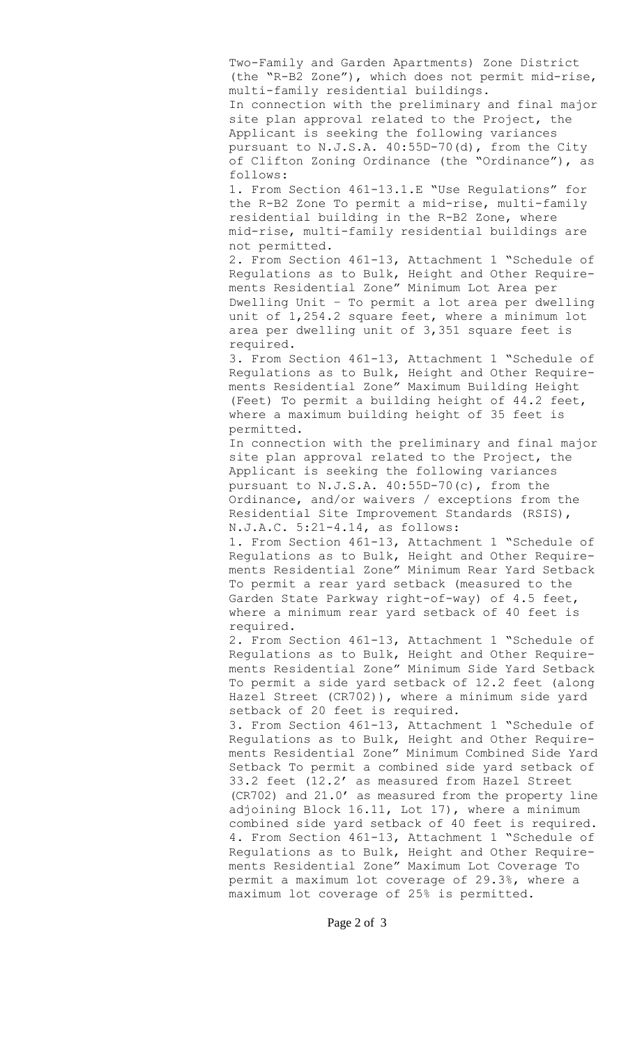Two-Family and Garden Apartments) Zone District (the "R-B2 Zone"), which does not permit mid-rise, multi-family residential buildings. In connection with the preliminary and final major site plan approval related to the Project, the Applicant is seeking the following variances pursuant to N.J.S.A. 40:55D-70(d), from the City of Clifton Zoning Ordinance (the "Ordinance"), as follows:

1. From Section 461-13.1.E "Use Regulations" for the R-B2 Zone To permit a mid-rise, multi-family residential building in the R-B2 Zone, where mid-rise, multi-family residential buildings are not permitted.

2. From Section 461-13, Attachment 1 "Schedule of Regulations as to Bulk, Height and Other Requirements Residential Zone" Minimum Lot Area per Dwelling Unit – To permit a lot area per dwelling unit of 1,254.2 square feet, where a minimum lot area per dwelling unit of 3,351 square feet is required.

3. From Section 461-13, Attachment 1 "Schedule of Regulations as to Bulk, Height and Other Requirements Residential Zone" Maximum Building Height (Feet) To permit a building height of 44.2 feet, where a maximum building height of 35 feet is permitted.

In connection with the preliminary and final major site plan approval related to the Project, the Applicant is seeking the following variances pursuant to N.J.S.A. 40:55D-70(c), from the Ordinance, and/or waivers / exceptions from the Residential Site Improvement Standards (RSIS), N.J.A.C. 5:21-4.14, as follows:

1. From Section 461-13, Attachment 1 "Schedule of Regulations as to Bulk, Height and Other Requirements Residential Zone" Minimum Rear Yard Setback To permit a rear yard setback (measured to the Garden State Parkway right-of-way) of 4.5 feet, where a minimum rear yard setback of 40 feet is required.

2. From Section 461-13, Attachment 1 "Schedule of Regulations as to Bulk, Height and Other Requirements Residential Zone" Minimum Side Yard Setback To permit a side yard setback of 12.2 feet (along Hazel Street (CR702)), where a minimum side yard setback of 20 feet is required.

3. From Section 461-13, Attachment 1 "Schedule of Regulations as to Bulk, Height and Other Requirements Residential Zone" Minimum Combined Side Yard Setback To permit a combined side yard setback of 33.2 feet (12.2' as measured from Hazel Street (CR702) and 21.0' as measured from the property line adjoining Block 16.11, Lot 17), where a minimum combined side yard setback of 40 feet is required. 4. From Section 461-13, Attachment 1 "Schedule of Regulations as to Bulk, Height and Other Requirements Residential Zone" Maximum Lot Coverage To permit a maximum lot coverage of 29.3%, where a maximum lot coverage of 25% is permitted.